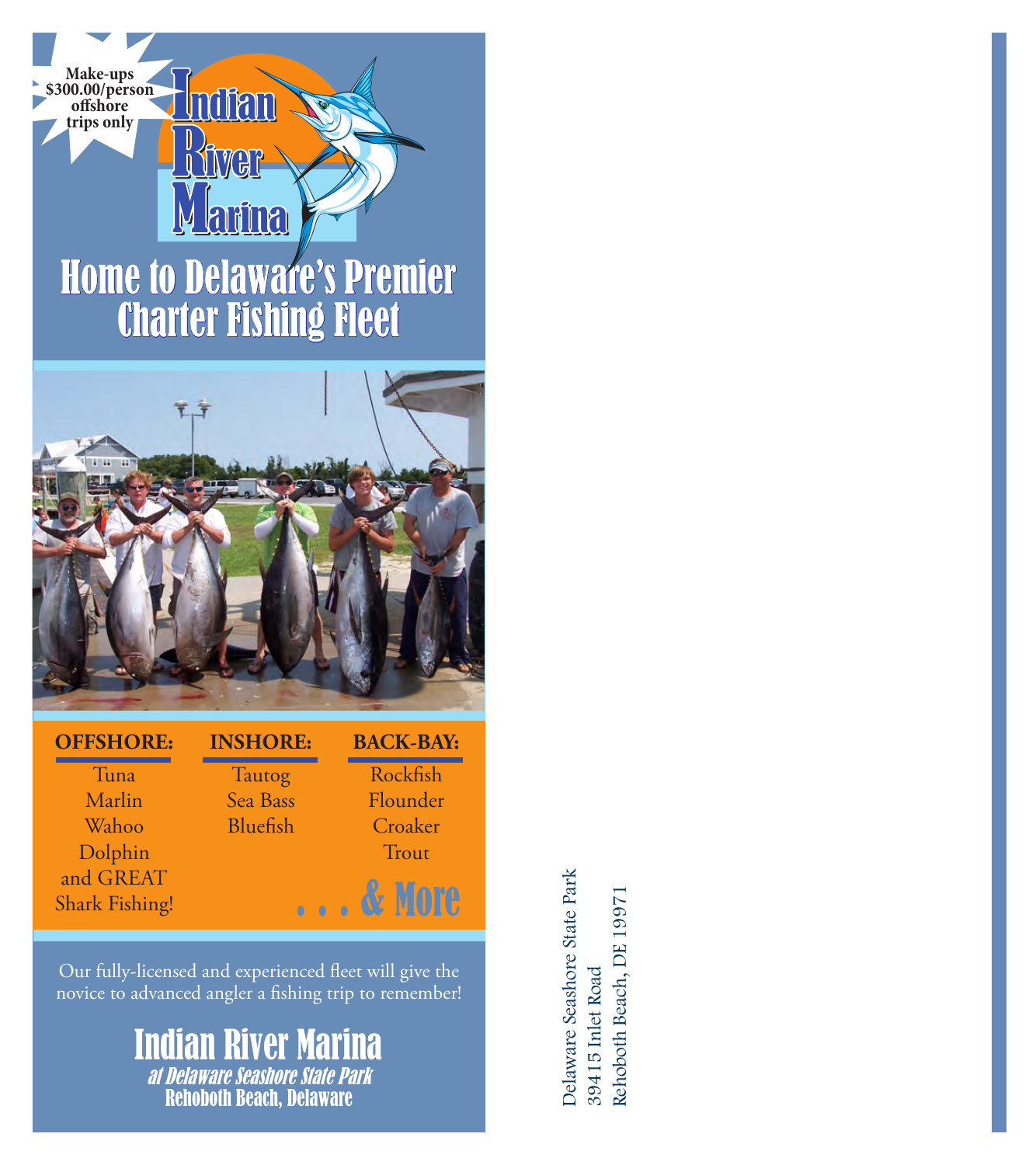



### **OFFSHORE:**

Tuna Marlin Wahoo Dolphin and GREAT Shark Fishing! **INSHORE: Tautog** Sea Bass Bluefish

**BACK-BAY:**

Rockfish Flounder Croaker **Trout** . . . & More

Our fully-licensed and experienced fleet will give the novice to advanced angler a fishing trip to remember!

# Indian River Marina at Delaware Seashore State Park Rehoboth Beach, Delaware

Delaware Seashore State Park Delaware Seashore State Park Rehoboth Beach, DE 19971 Rehoboth Beach, DE 1997139415 Inlet Road 39415 Inlet Road